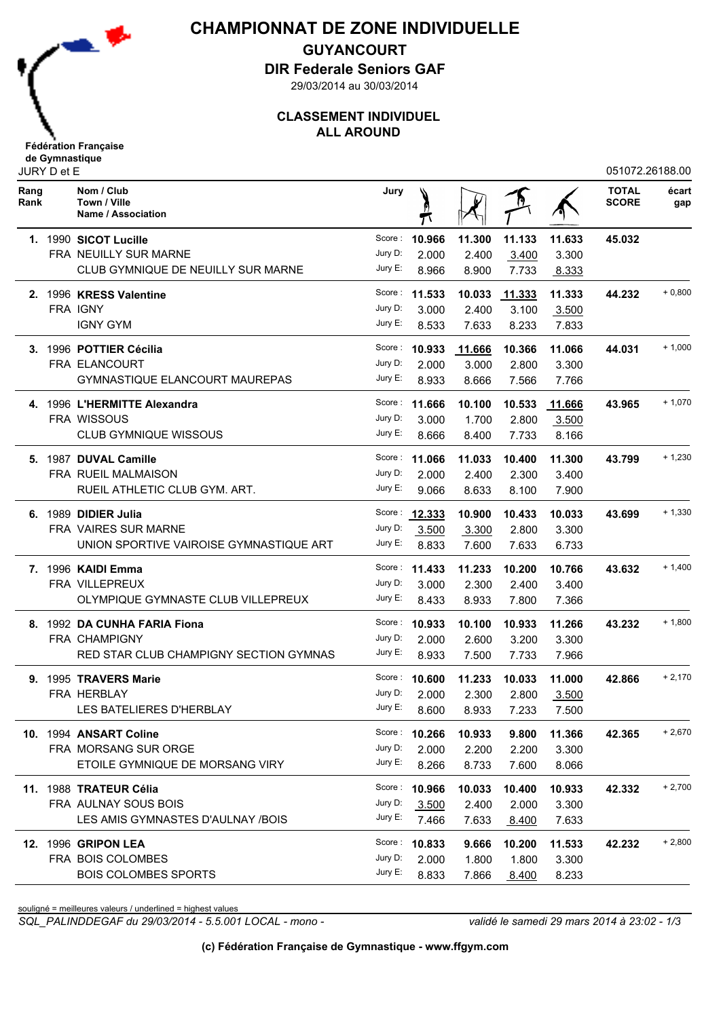

## **CHAMPIONNAT DE ZONE INDIVIDUELLE**

**GUYANCOURT**

**DIR Federale Seniors GAF**

29/03/2014 au 30/03/2014

## **CLASSEMENT INDIVIDUEL ALL AROUND**

|              | JURY D et E |                                                  |         |                      |        |               |        | 051072.26188.00              |              |
|--------------|-------------|--------------------------------------------------|---------|----------------------|--------|---------------|--------|------------------------------|--------------|
| Rang<br>Rank |             | Nom / Club<br>Town / Ville<br>Name / Association | Jury    |                      |        |               |        | <b>TOTAL</b><br><b>SCORE</b> | écart<br>gap |
|              |             | 1. 1990 SICOT Lucille                            |         | Score: 10.966        | 11.300 | 11.133        | 11.633 | 45.032                       |              |
|              |             | <b>FRA NEUILLY SUR MARNE</b>                     | Jury D: | 2.000                | 2.400  | 3.400         | 3.300  |                              |              |
|              |             | CLUB GYMNIQUE DE NEUILLY SUR MARNE               | Jury E: | 8.966                | 8.900  | 7.733         | 8.333  |                              |              |
|              |             | 2. 1996 KRESS Valentine                          | Score : | 11.533               | 10.033 | <u>11.333</u> | 11.333 | 44.232                       | $+0,800$     |
|              |             | FRA IGNY                                         | Jury D: | 3.000                | 2.400  | 3.100         | 3.500  |                              |              |
|              |             | <b>IGNY GYM</b>                                  | Jury E: | 8.533                | 7.633  | 8.233         | 7.833  |                              |              |
|              |             | 3. 1996 POTTIER Cécilia                          | Score:  | 10.933               | 11.666 | 10.366        | 11.066 | 44.031                       | $+1,000$     |
|              |             | FRA ELANCOURT                                    | Jury D: | 2.000                | 3.000  | 2.800         | 3.300  |                              |              |
|              |             | GYMNASTIQUE ELANCOURT MAUREPAS                   | Jury E: | 8.933                | 8.666  | 7.566         | 7.766  |                              |              |
|              |             | 4. 1996 L'HERMITTE Alexandra                     | Score : | 11.666               | 10.100 | 10.533        | 11.666 | 43.965                       | $+1,070$     |
|              |             | <b>FRA WISSOUS</b>                               | Jury D: | 3.000                | 1.700  | 2.800         | 3.500  |                              |              |
|              |             | CLUB GYMNIQUE WISSOUS                            | Jury E: | 8.666                | 8.400  | 7.733         | 8.166  |                              |              |
|              |             | 5. 1987 DUVAL Camille                            | Score : | 11.066               | 11.033 | 10.400        | 11.300 | 43.799                       | $+1,230$     |
|              |             | <b>FRA RUEIL MALMAISON</b>                       | Jury D: | 2.000                | 2.400  | 2.300         | 3.400  |                              |              |
|              |             | RUEIL ATHLETIC CLUB GYM. ART.                    | Jury E: | 9.066                | 8.633  | 8.100         | 7.900  |                              |              |
|              |             | 6. 1989 DIDIER Julia                             |         | Score: 12.333        | 10.900 | 10.433        | 10.033 | 43.699                       | $+1,330$     |
|              |             | <b>FRA VAIRES SUR MARNE</b>                      | Jury D: | 3.500                | 3.300  | 2.800         | 3.300  |                              |              |
|              |             | UNION SPORTIVE VAIROISE GYMNASTIQUE ART          | Jury E: | 8.833                | 7.600  | 7.633         | 6.733  |                              |              |
|              |             | <b>7. 1996 KAIDI Emma</b>                        |         | Score: <b>11.433</b> | 11.233 | 10.200        | 10.766 | 43.632                       | $+1,400$     |
|              |             | FRA VILLEPREUX                                   | Jury D: | 3.000                | 2.300  | 2.400         | 3.400  |                              |              |
|              |             | OLYMPIQUE GYMNASTE CLUB VILLEPREUX               | Jury E: | 8.433                | 8.933  | 7.800         | 7.366  |                              |              |
|              |             | 8. 1992 DA CUNHA FARIA Fiona                     |         | Score: 10.933        | 10.100 | 10.933        | 11.266 | 43.232                       | $+1,800$     |
|              |             | FRA CHAMPIGNY                                    | Jury D: | 2.000                | 2.600  | 3.200         | 3.300  |                              |              |
|              |             | RED STAR CLUB CHAMPIGNY SECTION GYMNAS           | Jury E: | 8.933                | 7.500  | 7.733         | 7.966  |                              |              |
|              |             | 9. 1995 TRAVERS Marie                            | Score : | 10.600               | 11.233 | 10.033        | 11.000 | 42.866                       | $+2,170$     |
|              |             | FRA HERBLAY                                      | Jury D: | 2.000                | 2.300  | 2.800         | 3.500  |                              |              |
|              |             | LES BATELIERES D'HERBLAY                         |         | Jury E: $8.600$      | 8.933  | 7.233         | 7.500  |                              |              |
|              |             | 10. 1994 ANSART Coline                           |         | Score: 10.266        | 10.933 | 9.800         | 11.366 | 42.365                       | $+2,670$     |
|              |             | FRA MORSANG SUR ORGE                             | Jury D: | 2.000                | 2.200  | 2.200         | 3.300  |                              |              |
|              |             | ETOILE GYMNIQUE DE MORSANG VIRY                  | Jury E: | 8.266                | 8.733  | 7.600         | 8.066  |                              |              |
|              |             | 11. 1988 TRATEUR Célia                           |         | Score: 10.966        | 10.033 | 10.400        | 10.933 | 42.332                       | $+2,700$     |
|              |             | <b>FRA AULNAY SOUS BOIS</b>                      | Jury D: | 3.500                | 2.400  | 2.000         | 3.300  |                              |              |
|              |             | LES AMIS GYMNASTES D'AULNAY /BOIS                | Jury E: | 7.466                | 7.633  | 8.400         | 7.633  |                              |              |
|              |             | <b>12. 1996 GRIPON LEA</b>                       |         | Score: <b>10.833</b> | 9.666  | 10.200        | 11.533 | 42.232                       | $+2,800$     |
|              |             | FRA BOIS COLOMBES                                | Jury D: | 2.000                | 1.800  | 1.800         | 3.300  |                              |              |
|              |             | <b>BOIS COLOMBES SPORTS</b>                      | Jury E: | 8.833                | 7.866  | 8.400         | 8.233  |                              |              |

souligné = meilleures valeurs / underlined = highest values

*SQL\_PALINDDEGAF du 29/03/2014 - 5.5.001 LOCAL - mono - validé le samedi 29 mars 2014 à 23:02 - 1/3*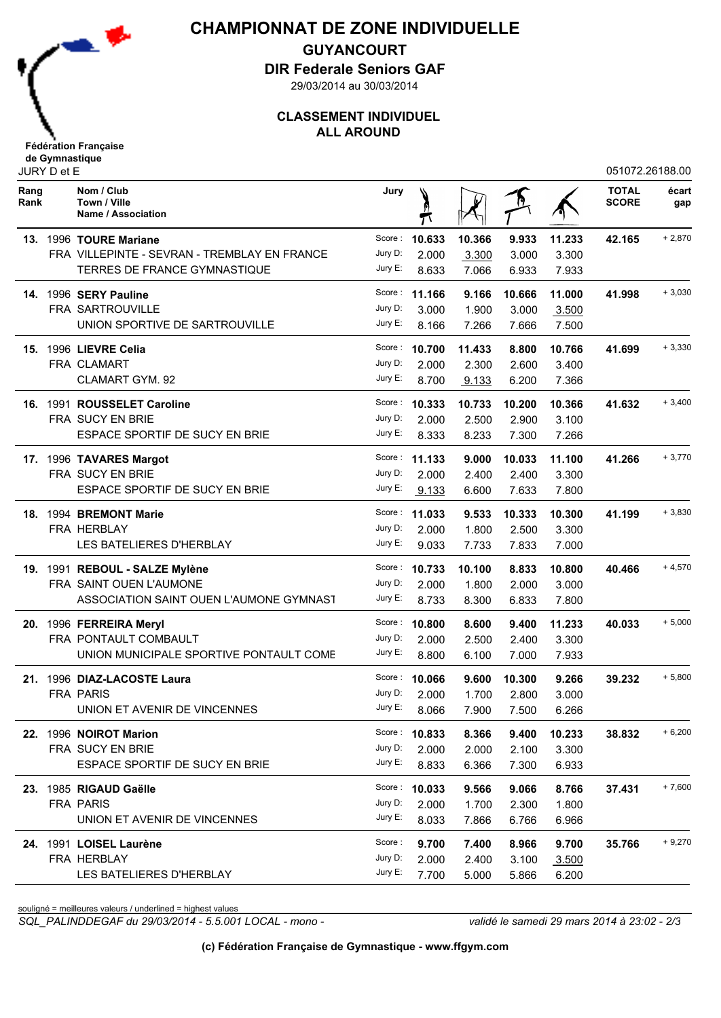

## **CHAMPIONNAT DE ZONE INDIVIDUELLE**

**GUYANCOURT**

**DIR Federale Seniors GAF**

29/03/2014 au 30/03/2014

## **CLASSEMENT INDIVIDUEL ALL AROUND**

| JURY D et E  |  |                                                  |         |               |        |        |        | 051072.26188.00              |              |
|--------------|--|--------------------------------------------------|---------|---------------|--------|--------|--------|------------------------------|--------------|
| Rang<br>Rank |  | Nom / Club<br>Town / Ville<br>Name / Association | Jury    |               |        |        |        | <b>TOTAL</b><br><b>SCORE</b> | écart<br>gap |
|              |  | 13. 1996 TOURE Mariane                           | Score:  | 10.633        | 10.366 | 9.933  | 11.233 | 42.165                       | $+2,870$     |
|              |  | FRA VILLEPINTE - SEVRAN - TREMBLAY EN FRANCE     | Jury D: | 2.000         | 3.300  | 3.000  | 3.300  |                              |              |
|              |  | TERRES DE FRANCE GYMNASTIQUE                     | Jury E: | 8.633         | 7.066  | 6.933  | 7.933  |                              |              |
|              |  | 14. 1996 SERY Pauline                            |         | Score: 11.166 | 9.166  | 10.666 | 11.000 | 41.998                       | $+3,030$     |
|              |  | FRA SARTROUVILLE                                 | Jury D: | 3.000         | 1.900  | 3.000  | 3.500  |                              |              |
|              |  | UNION SPORTIVE DE SARTROUVILLE                   | Jury E: | 8.166         | 7.266  | 7.666  | 7.500  |                              |              |
|              |  | 15. 1996 LIEVRE Celia                            | Score : | 10.700        | 11.433 | 8.800  | 10.766 | 41.699                       | $+3,330$     |
|              |  | FRA CLAMART                                      | Jury D: | 2.000         | 2.300  | 2.600  | 3.400  |                              |              |
|              |  | CLAMART GYM. 92                                  | Jury E: | 8.700         | 9.133  | 6.200  | 7.366  |                              |              |
|              |  | 16. 1991 ROUSSELET Caroline                      |         | Score: 10.333 | 10.733 | 10.200 | 10.366 | 41.632                       | $+3,400$     |
|              |  | FRA SUCY EN BRIE                                 | Jury D: | 2.000         | 2.500  | 2.900  | 3.100  |                              |              |
|              |  | ESPACE SPORTIF DE SUCY EN BRIE                   | Jury E: | 8.333         | 8.233  | 7.300  | 7.266  |                              |              |
|              |  | 17. 1996 TAVARES Margot                          | Score : | 11.133        | 9.000  | 10.033 | 11.100 | 41.266                       | $+3,770$     |
|              |  | FRA SUCY EN BRIE                                 | Jury D: | 2.000         | 2.400  | 2.400  | 3.300  |                              |              |
|              |  | <b>ESPACE SPORTIF DE SUCY EN BRIE</b>            | Jury E: | 9.133         | 6.600  | 7.633  | 7.800  |                              |              |
|              |  | 18. 1994 BREMONT Marie                           | Score : | 11.033        | 9.533  | 10.333 | 10.300 | 41.199                       | $+3,830$     |
|              |  | <b>FRA HERBLAY</b>                               | Jury D: | 2.000         | 1.800  | 2.500  | 3.300  |                              |              |
|              |  | LES BATELIERES D'HERBLAY                         | Jury E: | 9.033         | 7.733  | 7.833  | 7.000  |                              |              |
|              |  | 19. 1991 REBOUL - SALZE Mylène                   |         | Score: 10.733 | 10.100 | 8.833  | 10.800 | 40.466                       | $+4,570$     |
|              |  | FRA SAINT OUEN L'AUMONE                          | Jury D: | 2.000         | 1.800  | 2.000  | 3.000  |                              |              |
|              |  | ASSOCIATION SAINT OUEN L'AUMONE GYMNAST          | Jury E: | 8.733         | 8.300  | 6.833  | 7.800  |                              |              |
| 20.          |  | 1996 FERREIRA Meryl                              |         | Score: 10.800 | 8.600  | 9.400  | 11.233 | 40.033                       | $+5,000$     |
|              |  | FRA PONTAULT COMBAULT                            | Jury D: | 2.000         | 2.500  | 2.400  | 3.300  |                              |              |
|              |  | UNION MUNICIPALE SPORTIVE PONTAULT COME          | Jury E: | 8.800         | 6.100  | 7.000  | 7.933  |                              |              |
|              |  | 21. 1996 DIAZ-LACOSTE Laura                      |         | Score: 10.066 | 9.600  | 10.300 | 9.266  | 39.232                       | $+5,800$     |
|              |  | <b>FRA PARIS</b>                                 | Jury D: | 2.000         | 1.700  | 2.800  | 3.000  |                              |              |
|              |  | UNION ET AVENIR DE VINCENNES                     |         | Jury E: 8.066 | 7.900  | 7.500  | 6.266  |                              |              |
|              |  | 22. 1996 NOIROT Marion                           |         | Score: 10.833 | 8.366  | 9.400  | 10.233 | 38.832                       | $+6,200$     |
|              |  | FRA SUCY EN BRIE                                 | Jury D: | 2.000         | 2.000  | 2.100  | 3.300  |                              |              |
|              |  | ESPACE SPORTIF DE SUCY EN BRIE                   | Jury E: | 8.833         | 6.366  | 7.300  | 6.933  |                              |              |
|              |  | 23. 1985 RIGAUD Gaëlle                           |         | Score: 10.033 | 9.566  | 9.066  | 8.766  | 37.431                       | $+7,600$     |
|              |  | <b>FRA PARIS</b>                                 | Jury D: | 2.000         | 1.700  | 2.300  | 1.800  |                              |              |
|              |  | UNION ET AVENIR DE VINCENNES                     | Jury E: | 8.033         | 7.866  | 6.766  | 6.966  |                              |              |
|              |  | 24. 1991 LOISEL Laurène                          | Score:  | 9.700         | 7.400  | 8.966  | 9.700  | 35.766                       | $+9,270$     |
|              |  | FRA HERBLAY                                      | Jury D: | 2.000         | 2.400  | 3.100  | 3.500  |                              |              |
|              |  | LES BATELIERES D'HERBLAY                         | Jury E: | 7.700         | 5.000  | 5.866  | 6.200  |                              |              |

souligné = meilleures valeurs / underlined = highest values

*SQL\_PALINDDEGAF du 29/03/2014 - 5.5.001 LOCAL - mono - validé le samedi 29 mars 2014 à 23:02 - 2/3*